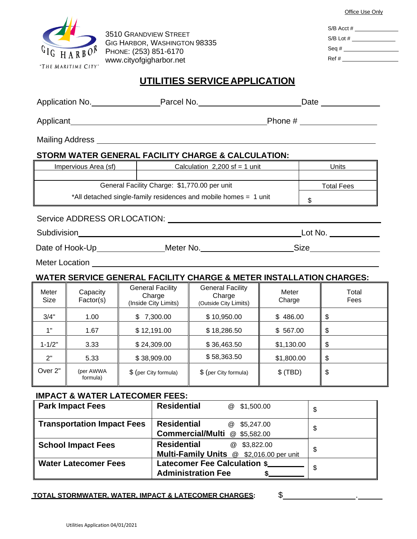|                                                                                                                                                                                                                                |                                           |                |                                                                                               |                                                                                  |                                                                                                                                                                                                                                                                               |                                                              | Office Use Only              |  |
|--------------------------------------------------------------------------------------------------------------------------------------------------------------------------------------------------------------------------------|-------------------------------------------|----------------|-----------------------------------------------------------------------------------------------|----------------------------------------------------------------------------------|-------------------------------------------------------------------------------------------------------------------------------------------------------------------------------------------------------------------------------------------------------------------------------|--------------------------------------------------------------|------------------------------|--|
| <b>3510 GRANDVIEW STREET</b><br>GIG HARBOR, WASHINGTON 98335                                                                                                                                                                   |                                           |                |                                                                                               |                                                                                  |                                                                                                                                                                                                                                                                               |                                                              | $S/B$ Acct #                 |  |
|                                                                                                                                                                                                                                |                                           |                |                                                                                               |                                                                                  |                                                                                                                                                                                                                                                                               | $S/B$ Lot # $\_\_\_\_\_\_\_\_\_\_\_\_\_\_\_\_\_\_\_\_\_\_\_$ |                              |  |
| PHONE: (253) 851-6170                                                                                                                                                                                                          |                                           |                |                                                                                               |                                                                                  |                                                                                                                                                                                                                                                                               | Seq #                                                        |                              |  |
| www.cityofgigharbor.net<br>"THE MARITIME CITY"                                                                                                                                                                                 |                                           |                |                                                                                               |                                                                                  |                                                                                                                                                                                                                                                                               |                                                              |                              |  |
| UTILITIES SERVICE APPLICATION                                                                                                                                                                                                  |                                           |                |                                                                                               |                                                                                  |                                                                                                                                                                                                                                                                               |                                                              |                              |  |
| Application No. 2012 Parcel No. 2012 Parcel No. 2014 Parcel No. 2014 Parcel No. 2014 Parcel No. 2014 Parcel No                                                                                                                 |                                           |                |                                                                                               |                                                                                  |                                                                                                                                                                                                                                                                               |                                                              |                              |  |
|                                                                                                                                                                                                                                |                                           |                |                                                                                               |                                                                                  | Phone # $\frac{1}{2}$ Phone # $\frac{1}{2}$ Phone # $\frac{1}{2}$ Phone # $\frac{1}{2}$ Phone # $\frac{1}{2}$ Phone # $\frac{1}{2}$ Phone # $\frac{1}{2}$ Phone # $\frac{1}{2}$ Phone # $\frac{1}{2}$ Phone # $\frac{1}{2}$ Phone # $\frac{1}{2}$ Phone # $\frac{1}{2}$ Phone |                                                              |                              |  |
|                                                                                                                                                                                                                                |                                           |                |                                                                                               | Mailing Address National Accounts and the Mailing Address                        |                                                                                                                                                                                                                                                                               |                                                              |                              |  |
| STORM WATER GENERAL FACILITY CHARGE & CALCULATION:                                                                                                                                                                             |                                           |                |                                                                                               |                                                                                  |                                                                                                                                                                                                                                                                               |                                                              |                              |  |
|                                                                                                                                                                                                                                | Impervious Area (sf)                      |                |                                                                                               | Calculation $2,200$ sf = 1 unit                                                  |                                                                                                                                                                                                                                                                               |                                                              | Units                        |  |
| General Facility Charge: \$1,770.00 per unit                                                                                                                                                                                   |                                           |                |                                                                                               |                                                                                  |                                                                                                                                                                                                                                                                               |                                                              | <b>Total Fees</b>            |  |
| *All detached single-family residences and mobile homes = 1 unit                                                                                                                                                               |                                           |                |                                                                                               |                                                                                  |                                                                                                                                                                                                                                                                               | \$                                                           |                              |  |
| Service ADDRESS ORLOCATION: LATER AND THE SERVICE AND THE SERVICE SERVICE SERVICE SERVICE SERVICE SERVICE SERVICE SERVICE SERVICE SERVICE SERVICE SERVICE SERVICE SERVICE SERVICE SERVICE SERVICE SERVICE SERVICE SERVICE SERV |                                           |                |                                                                                               |                                                                                  |                                                                                                                                                                                                                                                                               |                                                              |                              |  |
|                                                                                                                                                                                                                                |                                           |                |                                                                                               |                                                                                  |                                                                                                                                                                                                                                                                               |                                                              | <u>Lot No. _____________</u> |  |
|                                                                                                                                                                                                                                |                                           |                |                                                                                               |                                                                                  |                                                                                                                                                                                                                                                                               |                                                              |                              |  |
|                                                                                                                                                                                                                                | Meter Location                            |                |                                                                                               |                                                                                  |                                                                                                                                                                                                                                                                               |                                                              |                              |  |
|                                                                                                                                                                                                                                |                                           |                |                                                                                               | <b>WATER SERVICE GENERAL FACILITY CHARGE &amp; METER INSTALLATION CHARGES:</b>   |                                                                                                                                                                                                                                                                               |                                                              |                              |  |
| Meter                                                                                                                                                                                                                          | Capacity                                  |                | <b>General Facility</b>                                                                       | <b>General Facility</b>                                                          | Meter                                                                                                                                                                                                                                                                         |                                                              | Total                        |  |
| <b>Size</b>                                                                                                                                                                                                                    | Factor(s)                                 |                | Charge<br>(Inside City Limits)                                                                | Charge<br>(Outside City Limits)                                                  | Charge                                                                                                                                                                                                                                                                        |                                                              | Fees                         |  |
| 3/4"                                                                                                                                                                                                                           | 1.00                                      | 7,300.00<br>\$ |                                                                                               | \$10,950.00                                                                      | \$486.00                                                                                                                                                                                                                                                                      |                                                              | \$                           |  |
| 1"                                                                                                                                                                                                                             | 1.67                                      |                | \$12,191.00                                                                                   | \$18,286.50                                                                      | \$567.00                                                                                                                                                                                                                                                                      |                                                              | \$                           |  |
| $1 - 1/2"$                                                                                                                                                                                                                     | 3.33                                      |                | \$24,309.00                                                                                   | \$36,463.50                                                                      | \$1,130.00                                                                                                                                                                                                                                                                    |                                                              | \$                           |  |
| 2"                                                                                                                                                                                                                             | 5.33                                      | \$38,909.00    |                                                                                               | \$58,363.50                                                                      | \$1,800.00                                                                                                                                                                                                                                                                    |                                                              | \$                           |  |
| Over <sub>2"</sub>                                                                                                                                                                                                             | (per AWWA<br>formula)                     |                | \$ (per City formula)                                                                         | \$ (per City formula)                                                            | $$$ (TBD)                                                                                                                                                                                                                                                                     |                                                              | \$                           |  |
|                                                                                                                                                                                                                                | <b>IMPACT &amp; WATER LATECOMER FEES:</b> |                |                                                                                               |                                                                                  |                                                                                                                                                                                                                                                                               |                                                              |                              |  |
| <b>Park Impact Fees</b>                                                                                                                                                                                                        |                                           |                | <b>Residential</b><br>\$1,500.00<br>$^{\textregistered}$                                      |                                                                                  |                                                                                                                                                                                                                                                                               | \$                                                           |                              |  |
| <b>Transportation Impact Fees</b>                                                                                                                                                                                              |                                           |                | <b>Residential</b><br>\$5,247.00<br>$^{\circledR}$<br><b>Commercial/Multi</b><br>@ \$5,582.00 |                                                                                  |                                                                                                                                                                                                                                                                               | \$                                                           |                              |  |
| <b>School Impact Fees</b>                                                                                                                                                                                                      |                                           |                | <b>Residential</b><br>$^{\textregistered}$<br>\$3,822.00                                      |                                                                                  |                                                                                                                                                                                                                                                                               | \$                                                           |                              |  |
| <b>Water Latecomer Fees</b>                                                                                                                                                                                                    |                                           |                |                                                                                               | Multi-Family Units @ \$2,016.00 per unit<br><b>Latecomer Fee Calculation \$_</b> |                                                                                                                                                                                                                                                                               |                                                              |                              |  |
|                                                                                                                                                                                                                                |                                           |                | <b>Administration Fee</b><br>\$.                                                              |                                                                                  |                                                                                                                                                                                                                                                                               | \$                                                           |                              |  |
|                                                                                                                                                                                                                                |                                           |                |                                                                                               |                                                                                  |                                                                                                                                                                                                                                                                               |                                                              |                              |  |

 $\overline{\phantom{0}}$  $\overline{\phantom{0}}$  $\overline{\phantom{a}}$ 

**TOTAL STORMWATER, WATER, IMPACT & LATECOMER CHARGES:** \$ .